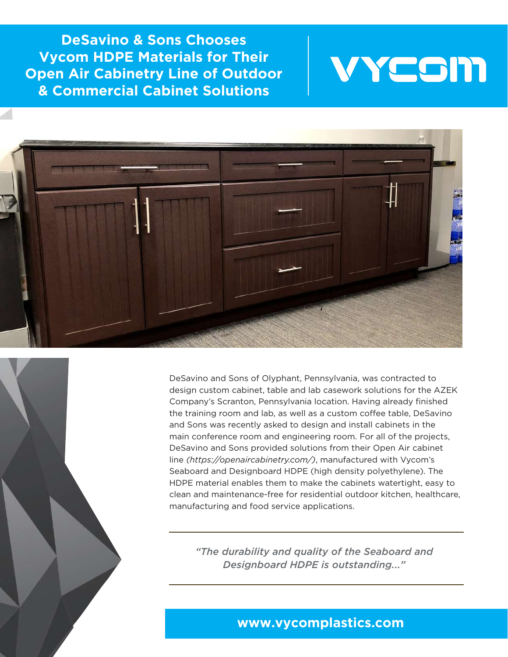**DeSavino & Sons Chooses Vycom HDPE Materials for Their Open Air Cabinetry Line of Outdoor & Commercial Cabinet Solutions**





DeSavino and Sons of Olyphant, Pennsylvania, was contracted to design custom cabinet, table and lab casework solutions for the AZEK Company's Scranton, Pennsylvania location. Having already finished the training room and lab, as well as a custom coffee table, DeSavino and Sons was recently asked to design and install cabinets in the main conference room and engineering room. For all of the projects, DeSavino and Sons provided solutions from their Open Air cabinet line *(https://openaircabinetry.com/)*, manufactured with Vycom's Seaboard and Designboard HDPE (high density polyethylene). The HDPE material enables them to make the cabinets watertight, easy to clean and maintenance-free for residential outdoor kitchen, healthcare, manufacturing and food service applications.

*"The durability and quality of the Seaboard and Designboard HDPE is outstanding..."*

## **www.vycomplastics.com**